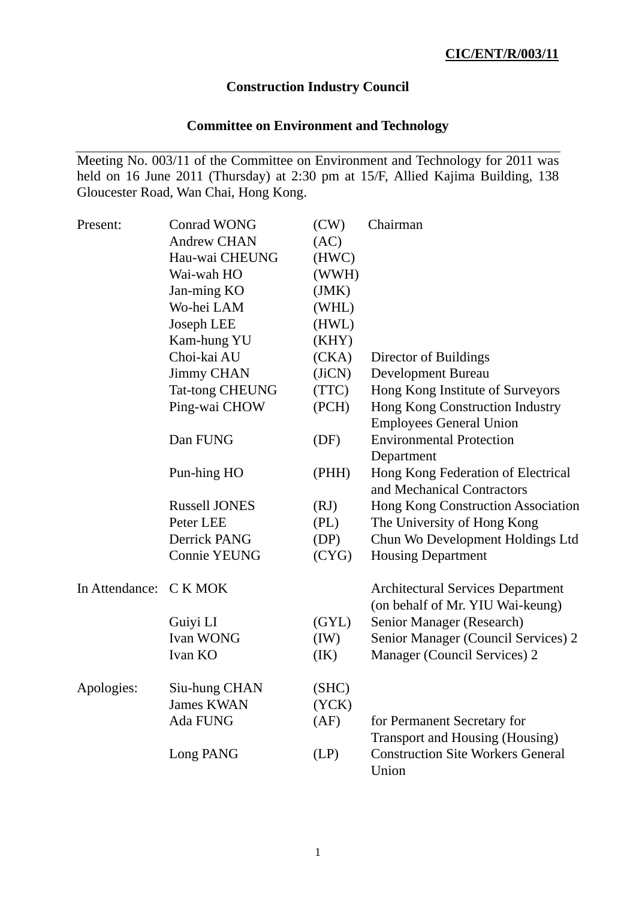# **Construction Industry Council**

# **Committee on Environment and Technology**

Meeting No. 003/11 of the Committee on Environment and Technology for 2011 was held on 16 June 2011 (Thursday) at 2:30 pm at 15/F, Allied Kajima Building, 138 Gloucester Road, Wan Chai, Hong Kong.

| Present:               | <b>Conrad WONG</b>     | (CW)   | Chairman                                                                     |
|------------------------|------------------------|--------|------------------------------------------------------------------------------|
|                        | <b>Andrew CHAN</b>     | (AC)   |                                                                              |
|                        | Hau-wai CHEUNG         | (HWC)  |                                                                              |
|                        | Wai-wah HO             | (WWH)  |                                                                              |
|                        | Jan-ming KO            | (JMK)  |                                                                              |
|                        | Wo-hei LAM             | (WHL)  |                                                                              |
|                        | Joseph LEE             | (HWL)  |                                                                              |
|                        | Kam-hung YU            | (KHY)  |                                                                              |
|                        | Choi-kai AU            | (CKA)  | Director of Buildings                                                        |
|                        | <b>Jimmy CHAN</b>      | (JiCN) | Development Bureau                                                           |
|                        | <b>Tat-tong CHEUNG</b> | (TTC)  | Hong Kong Institute of Surveyors                                             |
|                        | Ping-wai CHOW          | (PCH)  | Hong Kong Construction Industry                                              |
|                        |                        |        | <b>Employees General Union</b>                                               |
|                        | Dan FUNG               | (DF)   | <b>Environmental Protection</b><br>Department                                |
|                        | Pun-hing HO            | (PHH)  | Hong Kong Federation of Electrical<br>and Mechanical Contractors             |
|                        | <b>Russell JONES</b>   | (RJ)   | Hong Kong Construction Association                                           |
|                        | Peter LEE              | (PL)   | The University of Hong Kong                                                  |
|                        | Derrick PANG           | (DP)   | Chun Wo Development Holdings Ltd                                             |
|                        | <b>Connie YEUNG</b>    | (CYG)  | <b>Housing Department</b>                                                    |
| In Attendance: C K MOK |                        |        | <b>Architectural Services Department</b><br>(on behalf of Mr. YIU Wai-keung) |
|                        | Guiyi LI               | (GYL)  | Senior Manager (Research)                                                    |
|                        | Ivan WONG              | (IW)   | Senior Manager (Council Services) 2                                          |
|                        | Ivan KO                | (IK)   | Manager (Council Services) 2                                                 |
| Apologies:             | Siu-hung CHAN          | (SHC)  |                                                                              |
|                        | <b>James KWAN</b>      | (YCK)  |                                                                              |
|                        | <b>Ada FUNG</b>        | (AF)   | for Permanent Secretary for<br>Transport and Housing (Housing)               |
|                        | Long PANG              | (LP)   | <b>Construction Site Workers General</b><br>Union                            |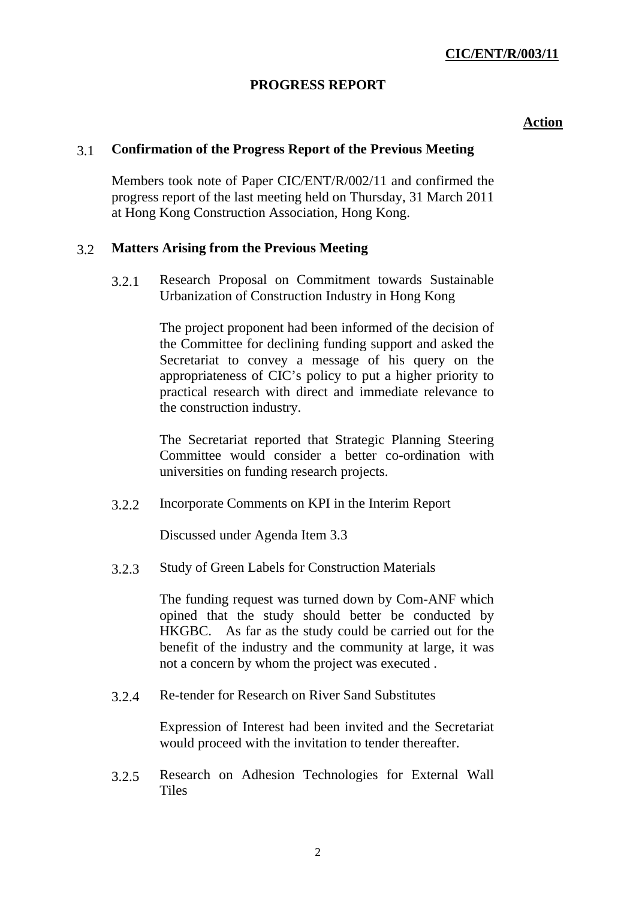# **PROGRESS REPORT**

### **Action**

# 3.1 **Confirmation of the Progress Report of the Previous Meeting**

Members took note of Paper CIC/ENT/R/002/11 and confirmed the progress report of the last meeting held on Thursday, 31 March 2011 at Hong Kong Construction Association, Hong Kong.

# 3.2 **Matters Arising from the Previous Meeting**

3.2.1 Research Proposal on Commitment towards Sustainable Urbanization of Construction Industry in Hong Kong

> The project proponent had been informed of the decision of the Committee for declining funding support and asked the Secretariat to convey a message of his query on the appropriateness of CIC's policy to put a higher priority to practical research with direct and immediate relevance to the construction industry.

> The Secretariat reported that Strategic Planning Steering Committee would consider a better co-ordination with universities on funding research projects.

3.2.2 Incorporate Comments on KPI in the Interim Report

Discussed under Agenda Item 3.3

3.2.3 Study of Green Labels for Construction Materials

The funding request was turned down by Com-ANF which opined that the study should better be conducted by HKGBC. As far as the study could be carried out for the benefit of the industry and the community at large, it was not a concern by whom the project was executed .

3.2.4 Re-tender for Research on River Sand Substitutes

Expression of Interest had been invited and the Secretariat would proceed with the invitation to tender thereafter.

3.2.5 Research on Adhesion Technologies for External Wall **Tiles**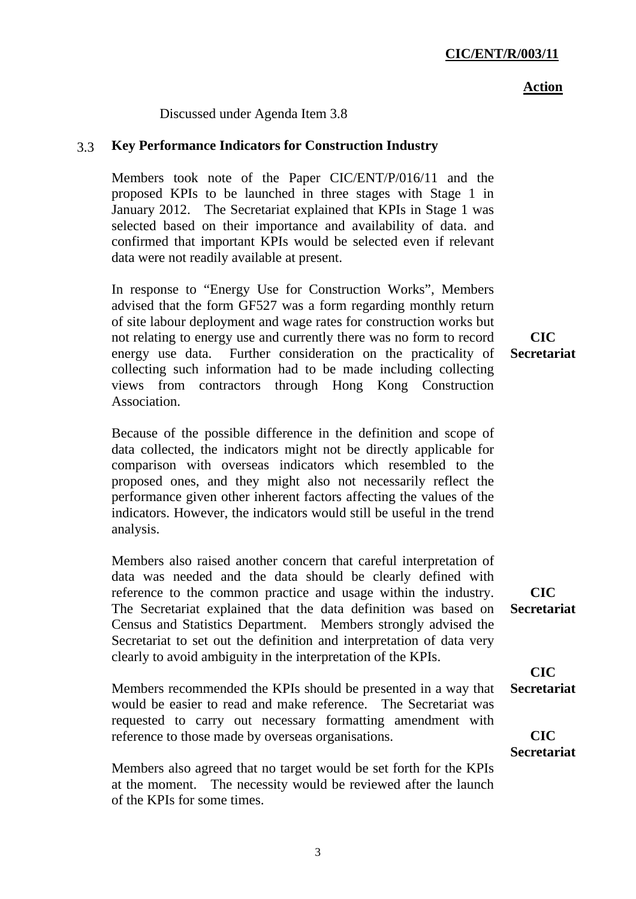3

#### **Action**

Discussed under Agenda Item 3.8

# 3.3 **Key Performance Indicators for Construction Industry**

Members took note of the Paper CIC/ENT/P/016/11 and the proposed KPIs to be launched in three stages with Stage 1 in January 2012. The Secretariat explained that KPIs in Stage 1 was selected based on their importance and availability of data. and confirmed that important KPIs would be selected even if relevant data were not readily available at present.

In response to "Energy Use for Construction Works", Members advised that the form GF527 was a form regarding monthly return of site labour deployment and wage rates for construction works but not relating to energy use and currently there was no form to record energy use data. Further consideration on the practicality of collecting such information had to be made including collecting views from contractors through Hong Kong Construction Association.

Because of the possible difference in the definition and scope of data collected, the indicators might not be directly applicable for comparison with overseas indicators which resembled to the proposed ones, and they might also not necessarily reflect the performance given other inherent factors affecting the values of the indicators. However, the indicators would still be useful in the trend analysis.

Members also raised another concern that careful interpretation of data was needed and the data should be clearly defined with reference to the common practice and usage within the industry. The Secretariat explained that the data definition was based on Census and Statistics Department. Members strongly advised the Secretariat to set out the definition and interpretation of data very clearly to avoid ambiguity in the interpretation of the KPIs.

Members recommended the KPIs should be presented in a way that would be easier to read and make reference. The Secretariat was requested to carry out necessary formatting amendment with reference to those made by overseas organisations.

Members also agreed that no target would be set forth for the KPIs at the moment. The necessity would be reviewed after the launch of the KPIs for some times.

**CIC Secretariat**

**CIC Secretariat** 

**CIC Secretariat** 

**CIC Secretariat**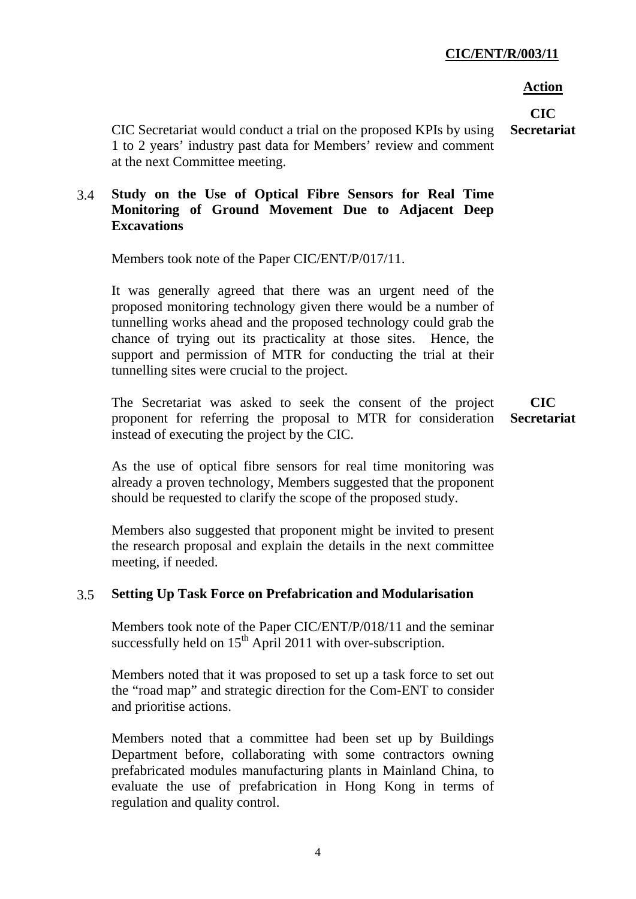### **CIC/ENT/R/003/11**

#### **Action**

**CIC** 

CIC Secretariat would conduct a trial on the proposed KPIs by using 1 to 2 years' industry past data for Members' review and comment at the next Committee meeting. **Secretariat**

# 3.4 **Study on the Use of Optical Fibre Sensors for Real Time Monitoring of Ground Movement Due to Adjacent Deep Excavations**

Members took note of the Paper CIC/ENT/P/017/11.

It was generally agreed that there was an urgent need of the proposed monitoring technology given there would be a number of tunnelling works ahead and the proposed technology could grab the chance of trying out its practicality at those sites. Hence, the support and permission of MTR for conducting the trial at their tunnelling sites were crucial to the project.

The Secretariat was asked to seek the consent of the project proponent for referring the proposal to MTR for consideration instead of executing the project by the CIC. **CIC** 

**Secretariat**

As the use of optical fibre sensors for real time monitoring was already a proven technology, Members suggested that the proponent should be requested to clarify the scope of the proposed study.

Members also suggested that proponent might be invited to present the research proposal and explain the details in the next committee meeting, if needed.

# 3.5 **Setting Up Task Force on Prefabrication and Modularisation**

Members took note of the Paper CIC/ENT/P/018/11 and the seminar successfully held on  $15<sup>th</sup>$  April 2011 with over-subscription.

Members noted that it was proposed to set up a task force to set out the "road map" and strategic direction for the Com-ENT to consider and prioritise actions.

Members noted that a committee had been set up by Buildings Department before, collaborating with some contractors owning prefabricated modules manufacturing plants in Mainland China, to evaluate the use of prefabrication in Hong Kong in terms of regulation and quality control.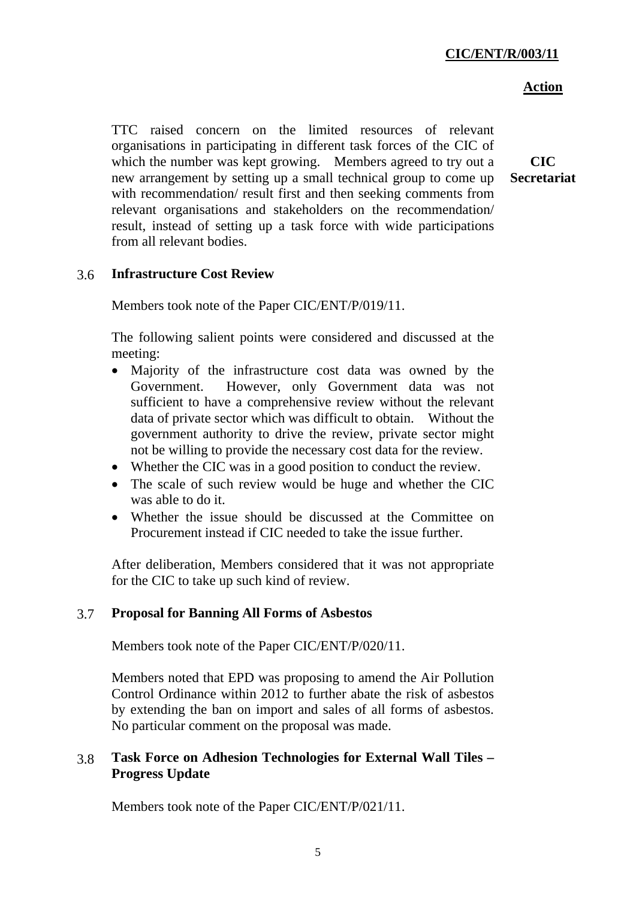### **Action**

TTC raised concern on the limited resources of relevant organisations in participating in different task forces of the CIC of which the number was kept growing. Members agreed to try out a new arrangement by setting up a small technical group to come up with recommendation/ result first and then seeking comments from relevant organisations and stakeholders on the recommendation/ result, instead of setting up a task force with wide participations from all relevant bodies.

**CIC Secretariat** 

# 3.6 **Infrastructure Cost Review**

Members took note of the Paper CIC/ENT/P/019/11.

The following salient points were considered and discussed at the meeting:

- Majority of the infrastructure cost data was owned by the Government. However, only Government data was not sufficient to have a comprehensive review without the relevant data of private sector which was difficult to obtain. Without the government authority to drive the review, private sector might not be willing to provide the necessary cost data for the review.
- Whether the CIC was in a good position to conduct the review.
- The scale of such review would be huge and whether the CIC was able to do it.
- Whether the issue should be discussed at the Committee on Procurement instead if CIC needed to take the issue further.

After deliberation, Members considered that it was not appropriate for the CIC to take up such kind of review.

### 3.7 **Proposal for Banning All Forms of Asbestos**

Members took note of the Paper CIC/ENT/P/020/11.

Members noted that EPD was proposing to amend the Air Pollution Control Ordinance within 2012 to further abate the risk of asbestos by extending the ban on import and sales of all forms of asbestos. No particular comment on the proposal was made.

# 3.8 **Task Force on Adhesion Technologies for External Wall Tiles – Progress Update**

Members took note of the Paper CIC/ENT/P/021/11.